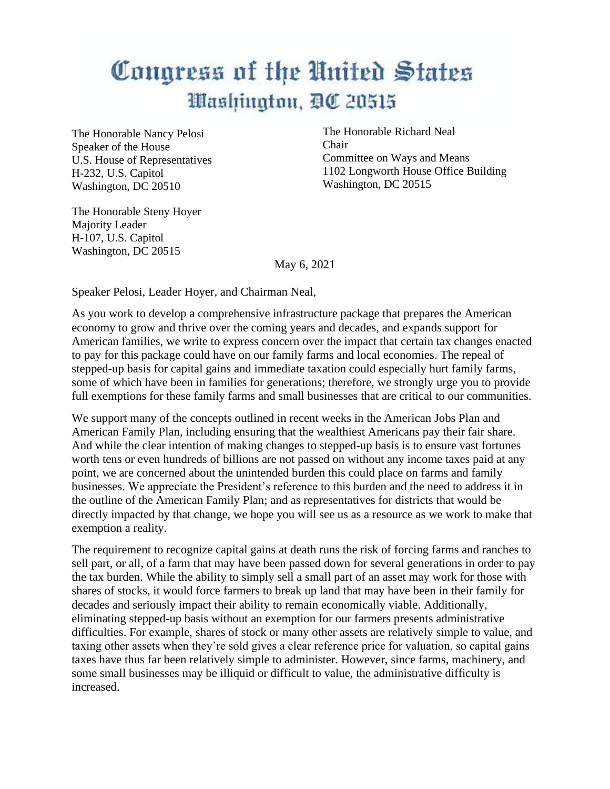## Congress of the United States Washington, DC 20515

The Honorable Nancy Pelosi Speaker of the House U.S. House of Representatives H-232, U.S. Capitol Washington, DC 20510

The Honorable Richard Neal Chair Committee on Ways and Means 1102 Longworth House Office Building Washington, DC 20515

The Honorable Steny Hoyer Majority Leader H-107, U.S. Capitol Washington, DC 20515

May 6, 2021

Speaker Pelosi, Leader Hoyer, and Chairman Neal,

As you work to develop a comprehensive infrastructure package that prepares the American economy to grow and thrive over the coming years and decades, and expands support for American families, we write to express concern over the impact that certain tax changes enacted to pay for this package could have on our family farms and local economies. The repeal of stepped-up basis for capital gains and immediate taxation could especially hurt family farms, some of which have been in families for generations; therefore, we strongly urge you to provide full exemptions for these family farms and small businesses that are critical to our communities.

We support many of the concepts outlined in recent weeks in the American Jobs Plan and American Family Plan, including ensuring that the wealthiest Americans pay their fair share. And while the clear intention of making changes to stepped-up basis is to ensure vast fortunes worth tens or even hundreds of billions are not passed on without any income taxes paid at any point, we are concerned about the unintended burden this could place on farms and family businesses. We appreciate the President's reference to this burden and the need to address it in the outline of the American Family Plan; and as representatives for districts that would be directly impacted by that change, we hope you will see us as a resource as we work to make that exemption a reality.

The requirement to recognize capital gains at death runs the risk of forcing farms and ranches to sell part, or all, of a farm that may have been passed down for several generations in order to pay the tax burden. While the ability to simply sell a small part of an asset may work for those with shares of stocks, it would force farmers to break up land that may have been in their family for decades and seriously impact their ability to remain economically viable. Additionally, eliminating stepped-up basis without an exemption for our farmers presents administrative difficulties. For example, shares of stock or many other assets are relatively simple to value, and taxing other assets when they're sold gives a clear reference price for valuation, so capital gains taxes have thus far been relatively simple to administer. However, since farms, machinery, and some small businesses may be illiquid or difficult to value, the administrative difficulty is increased.